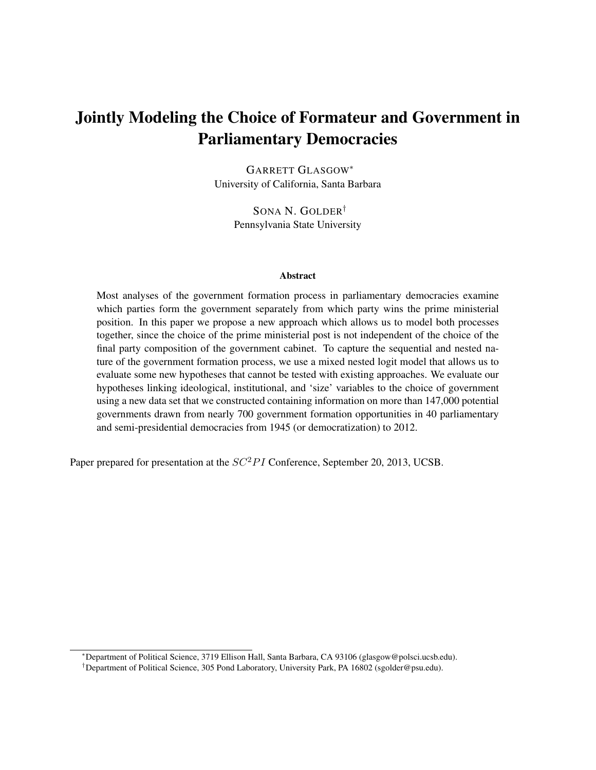# Jointly Modeling the Choice of Formateur and Government in Parliamentary Democracies

GARRETT GLASGOW<sup>∗</sup> University of California, Santa Barbara

> SONA N. GOLDER† Pennsylvania State University

#### **Abstract**

Most analyses of the government formation process in parliamentary democracies examine which parties form the government separately from which party wins the prime ministerial position. In this paper we propose a new approach which allows us to model both processes together, since the choice of the prime ministerial post is not independent of the choice of the final party composition of the government cabinet. To capture the sequential and nested nature of the government formation process, we use a mixed nested logit model that allows us to evaluate some new hypotheses that cannot be tested with existing approaches. We evaluate our hypotheses linking ideological, institutional, and 'size' variables to the choice of government using a new data set that we constructed containing information on more than 147,000 potential governments drawn from nearly 700 government formation opportunities in 40 parliamentary and semi-presidential democracies from 1945 (or democratization) to 2012.

Paper prepared for presentation at the  $SC^2PI$  Conference, September 20, 2013, UCSB.

<sup>∗</sup>Department of Political Science, 3719 Ellison Hall, Santa Barbara, CA 93106 (glasgow@polsci.ucsb.edu).

<sup>†</sup>Department of Political Science, 305 Pond Laboratory, University Park, PA 16802 (sgolder@psu.edu).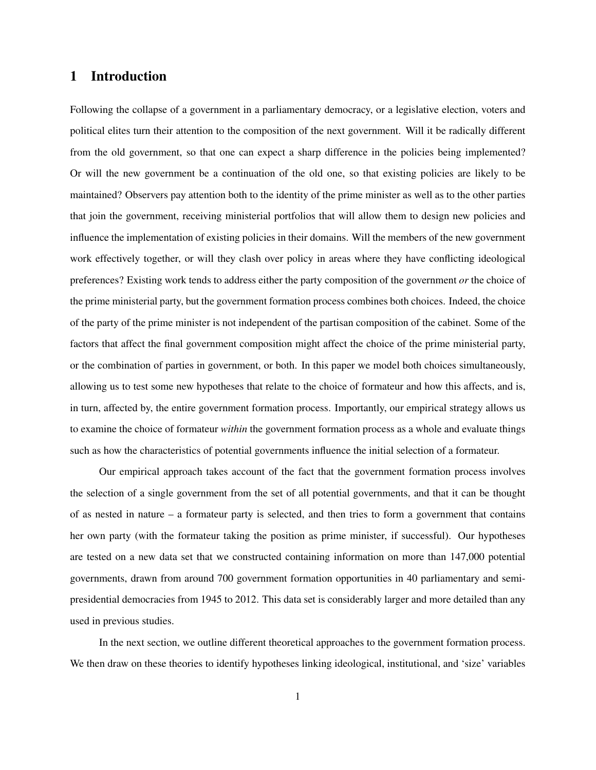## 1 Introduction

Following the collapse of a government in a parliamentary democracy, or a legislative election, voters and political elites turn their attention to the composition of the next government. Will it be radically different from the old government, so that one can expect a sharp difference in the policies being implemented? Or will the new government be a continuation of the old one, so that existing policies are likely to be maintained? Observers pay attention both to the identity of the prime minister as well as to the other parties that join the government, receiving ministerial portfolios that will allow them to design new policies and influence the implementation of existing policies in their domains. Will the members of the new government work effectively together, or will they clash over policy in areas where they have conflicting ideological preferences? Existing work tends to address either the party composition of the government *or* the choice of the prime ministerial party, but the government formation process combines both choices. Indeed, the choice of the party of the prime minister is not independent of the partisan composition of the cabinet. Some of the factors that affect the final government composition might affect the choice of the prime ministerial party, or the combination of parties in government, or both. In this paper we model both choices simultaneously, allowing us to test some new hypotheses that relate to the choice of formateur and how this affects, and is, in turn, affected by, the entire government formation process. Importantly, our empirical strategy allows us to examine the choice of formateur *within* the government formation process as a whole and evaluate things such as how the characteristics of potential governments influence the initial selection of a formateur.

Our empirical approach takes account of the fact that the government formation process involves the selection of a single government from the set of all potential governments, and that it can be thought of as nested in nature  $-$  a formateur party is selected, and then tries to form a government that contains her own party (with the formateur taking the position as prime minister, if successful). Our hypotheses are tested on a new data set that we constructed containing information on more than 147,000 potential governments, drawn from around 700 government formation opportunities in 40 parliamentary and semipresidential democracies from 1945 to 2012. This data set is considerably larger and more detailed than any used in previous studies.

In the next section, we outline different theoretical approaches to the government formation process. We then draw on these theories to identify hypotheses linking ideological, institutional, and 'size' variables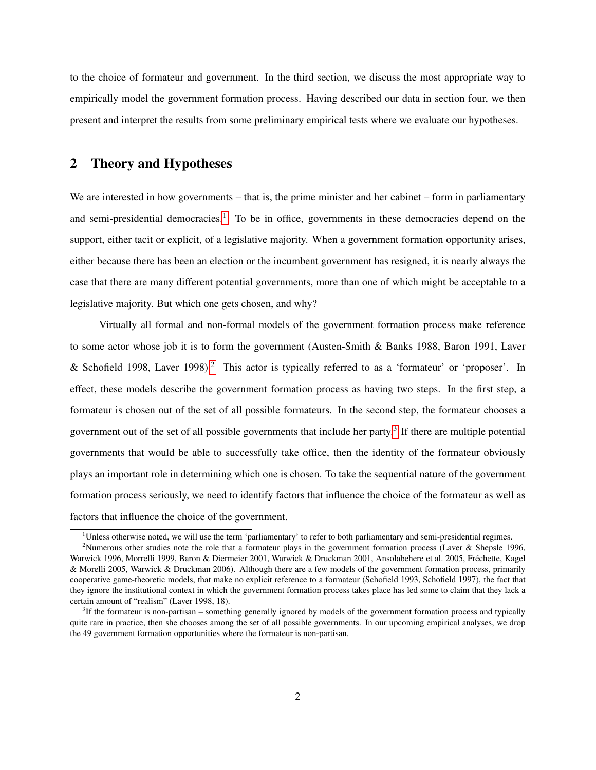to the choice of formateur and government. In the third section, we discuss the most appropriate way to empirically model the government formation process. Having described our data in section four, we then present and interpret the results from some preliminary empirical tests where we evaluate our hypotheses.

### 2 Theory and Hypotheses

We are interested in how governments – that is, the prime minister and her cabinet – form in parliamentary and semi-presidential democracies.<sup>[1](#page-2-0)</sup> To be in office, governments in these democracies depend on the support, either tacit or explicit, of a legislative majority. When a government formation opportunity arises, either because there has been an election or the incumbent government has resigned, it is nearly always the case that there are many different potential governments, more than one of which might be acceptable to a legislative majority. But which one gets chosen, and why?

Virtually all formal and non-formal models of the government formation process make reference to some actor whose job it is to form the government (Austen-Smith & Banks 1988, Baron 1991, Laver & Schofield 1998, Laver 1998).<sup>[2](#page-2-1)</sup> This actor is typically referred to as a 'formateur' or 'proposer'. In effect, these models describe the government formation process as having two steps. In the first step, a formateur is chosen out of the set of all possible formateurs. In the second step, the formateur chooses a government out of the set of all possible governments that include her party. $3$  If there are multiple potential governments that would be able to successfully take office, then the identity of the formateur obviously plays an important role in determining which one is chosen. To take the sequential nature of the government formation process seriously, we need to identify factors that influence the choice of the formateur as well as factors that influence the choice of the government.

<span id="page-2-1"></span><span id="page-2-0"></span> $1$ Unless otherwise noted, we will use the term 'parliamentary' to refer to both parliamentary and semi-presidential regimes.

<sup>&</sup>lt;sup>2</sup>Numerous other studies note the role that a formateur plays in the government formation process (Laver & Shepsle 1996, Warwick 1996, Morrelli 1999, Baron & Diermeier 2001, Warwick & Druckman 2001, Ansolabehere et al. 2005, Fréchette, Kagel & Morelli 2005, Warwick & Druckman 2006). Although there are a few models of the government formation process, primarily cooperative game-theoretic models, that make no explicit reference to a formateur (Schofield 1993, Schofield 1997), the fact that they ignore the institutional context in which the government formation process takes place has led some to claim that they lack a certain amount of "realism" (Laver 1998, 18).

<span id="page-2-2"></span><sup>&</sup>lt;sup>3</sup>If the formateur is non-partisan – something generally ignored by models of the government formation process and typically quite rare in practice, then she chooses among the set of all possible governments. In our upcoming empirical analyses, we drop the 49 government formation opportunities where the formateur is non-partisan.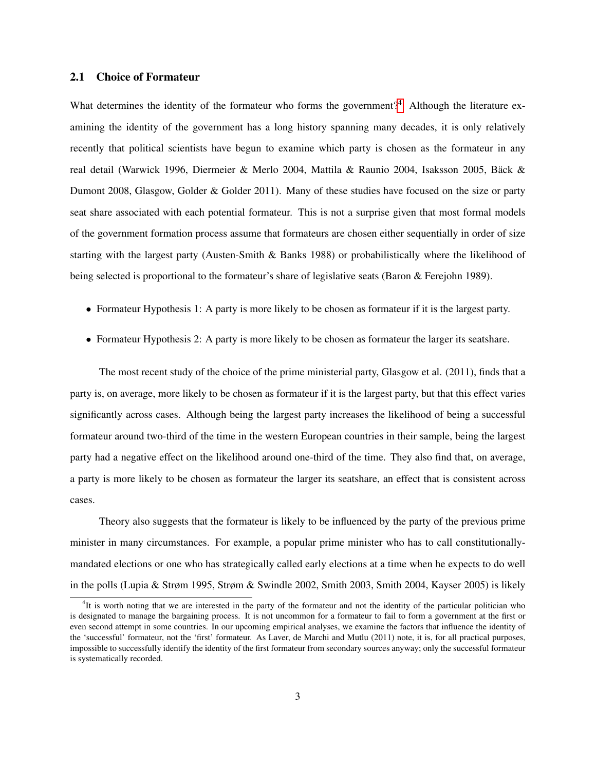### 2.1 Choice of Formateur

What determines the identity of the formateur who forms the government?<sup>[4](#page-3-0)</sup> Although the literature examining the identity of the government has a long history spanning many decades, it is only relatively recently that political scientists have begun to examine which party is chosen as the formateur in any real detail (Warwick 1996, Diermeier & Merlo 2004, Mattila & Raunio 2004, Isaksson 2005, Bäck & Dumont 2008, Glasgow, Golder & Golder 2011). Many of these studies have focused on the size or party seat share associated with each potential formateur. This is not a surprise given that most formal models of the government formation process assume that formateurs are chosen either sequentially in order of size starting with the largest party (Austen-Smith & Banks 1988) or probabilistically where the likelihood of being selected is proportional to the formateur's share of legislative seats (Baron & Ferejohn 1989).

- Formateur Hypothesis 1: A party is more likely to be chosen as formateur if it is the largest party.
- Formateur Hypothesis 2: A party is more likely to be chosen as formateur the larger its seatshare.

The most recent study of the choice of the prime ministerial party, Glasgow et al. (2011), finds that a party is, on average, more likely to be chosen as formateur if it is the largest party, but that this effect varies significantly across cases. Although being the largest party increases the likelihood of being a successful formateur around two-third of the time in the western European countries in their sample, being the largest party had a negative effect on the likelihood around one-third of the time. They also find that, on average, a party is more likely to be chosen as formateur the larger its seatshare, an effect that is consistent across cases.

Theory also suggests that the formateur is likely to be influenced by the party of the previous prime minister in many circumstances. For example, a popular prime minister who has to call constitutionallymandated elections or one who has strategically called early elections at a time when he expects to do well in the polls (Lupia & Strøm 1995, Strøm & Swindle 2002, Smith 2003, Smith 2004, Kayser 2005) is likely

<span id="page-3-0"></span><sup>&</sup>lt;sup>4</sup>It is worth noting that we are interested in the party of the formateur and not the identity of the particular politician who is designated to manage the bargaining process. It is not uncommon for a formateur to fail to form a government at the first or even second attempt in some countries. In our upcoming empirical analyses, we examine the factors that influence the identity of the 'successful' formateur, not the 'first' formateur. As Laver, de Marchi and Mutlu (2011) note, it is, for all practical purposes, impossible to successfully identify the identity of the first formateur from secondary sources anyway; only the successful formateur is systematically recorded.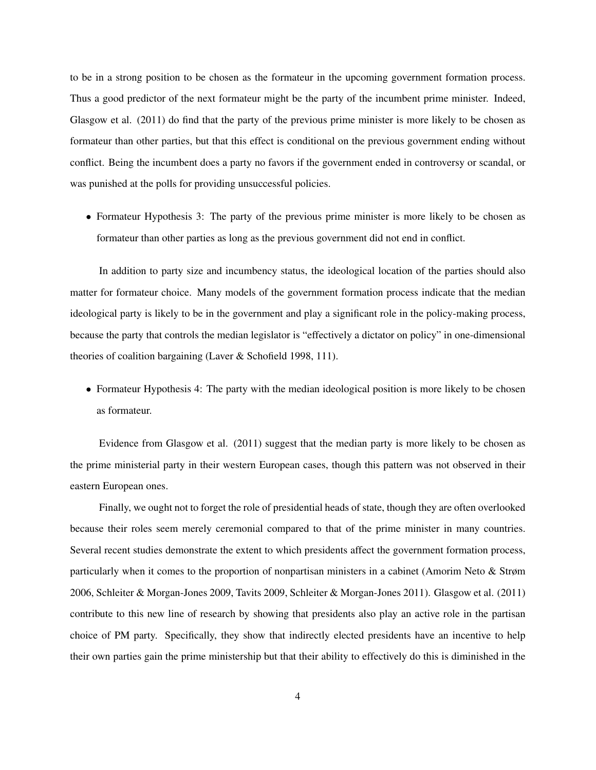to be in a strong position to be chosen as the formateur in the upcoming government formation process. Thus a good predictor of the next formateur might be the party of the incumbent prime minister. Indeed, Glasgow et al. (2011) do find that the party of the previous prime minister is more likely to be chosen as formateur than other parties, but that this effect is conditional on the previous government ending without conflict. Being the incumbent does a party no favors if the government ended in controversy or scandal, or was punished at the polls for providing unsuccessful policies.

• Formateur Hypothesis 3: The party of the previous prime minister is more likely to be chosen as formateur than other parties as long as the previous government did not end in conflict.

In addition to party size and incumbency status, the ideological location of the parties should also matter for formateur choice. Many models of the government formation process indicate that the median ideological party is likely to be in the government and play a significant role in the policy-making process, because the party that controls the median legislator is "effectively a dictator on policy" in one-dimensional theories of coalition bargaining (Laver & Schofield 1998, 111).

• Formateur Hypothesis 4: The party with the median ideological position is more likely to be chosen as formateur.

Evidence from Glasgow et al. (2011) suggest that the median party is more likely to be chosen as the prime ministerial party in their western European cases, though this pattern was not observed in their eastern European ones.

Finally, we ought not to forget the role of presidential heads of state, though they are often overlooked because their roles seem merely ceremonial compared to that of the prime minister in many countries. Several recent studies demonstrate the extent to which presidents affect the government formation process, particularly when it comes to the proportion of nonpartisan ministers in a cabinet (Amorim Neto & Strøm 2006, Schleiter & Morgan-Jones 2009, Tavits 2009, Schleiter & Morgan-Jones 2011). Glasgow et al. (2011) contribute to this new line of research by showing that presidents also play an active role in the partisan choice of PM party. Specifically, they show that indirectly elected presidents have an incentive to help their own parties gain the prime ministership but that their ability to effectively do this is diminished in the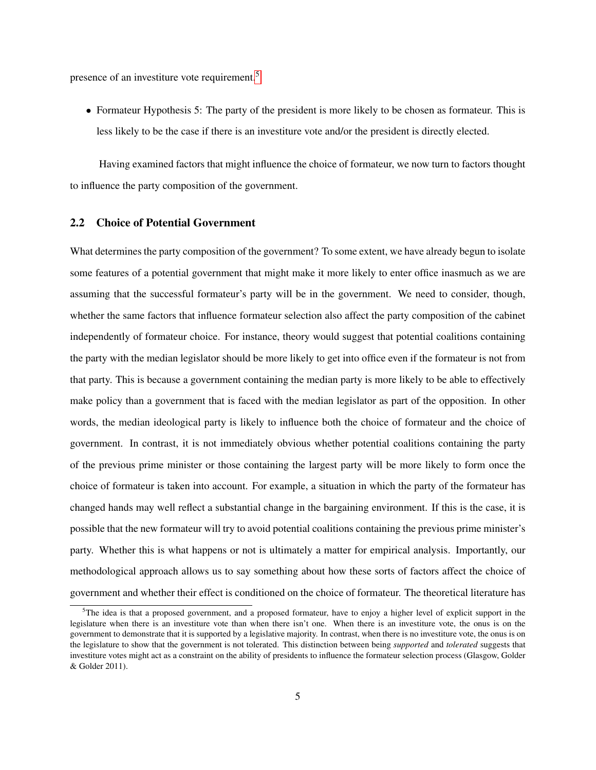presence of an investiture vote requirement.[5](#page-5-0)

• Formateur Hypothesis 5: The party of the president is more likely to be chosen as formateur. This is less likely to be the case if there is an investiture vote and/or the president is directly elected.

Having examined factors that might influence the choice of formateur, we now turn to factors thought to influence the party composition of the government.

### 2.2 Choice of Potential Government

What determines the party composition of the government? To some extent, we have already begun to isolate some features of a potential government that might make it more likely to enter office inasmuch as we are assuming that the successful formateur's party will be in the government. We need to consider, though, whether the same factors that influence formateur selection also affect the party composition of the cabinet independently of formateur choice. For instance, theory would suggest that potential coalitions containing the party with the median legislator should be more likely to get into office even if the formateur is not from that party. This is because a government containing the median party is more likely to be able to effectively make policy than a government that is faced with the median legislator as part of the opposition. In other words, the median ideological party is likely to influence both the choice of formateur and the choice of government. In contrast, it is not immediately obvious whether potential coalitions containing the party of the previous prime minister or those containing the largest party will be more likely to form once the choice of formateur is taken into account. For example, a situation in which the party of the formateur has changed hands may well reflect a substantial change in the bargaining environment. If this is the case, it is possible that the new formateur will try to avoid potential coalitions containing the previous prime minister's party. Whether this is what happens or not is ultimately a matter for empirical analysis. Importantly, our methodological approach allows us to say something about how these sorts of factors affect the choice of government and whether their effect is conditioned on the choice of formateur. The theoretical literature has

<span id="page-5-0"></span> ${}^{5}$ The idea is that a proposed government, and a proposed formateur, have to enjoy a higher level of explicit support in the legislature when there is an investiture vote than when there isn't one. When there is an investiture vote, the onus is on the government to demonstrate that it is supported by a legislative majority. In contrast, when there is no investiture vote, the onus is on the legislature to show that the government is not tolerated. This distinction between being *supported* and *tolerated* suggests that investiture votes might act as a constraint on the ability of presidents to influence the formateur selection process (Glasgow, Golder & Golder 2011).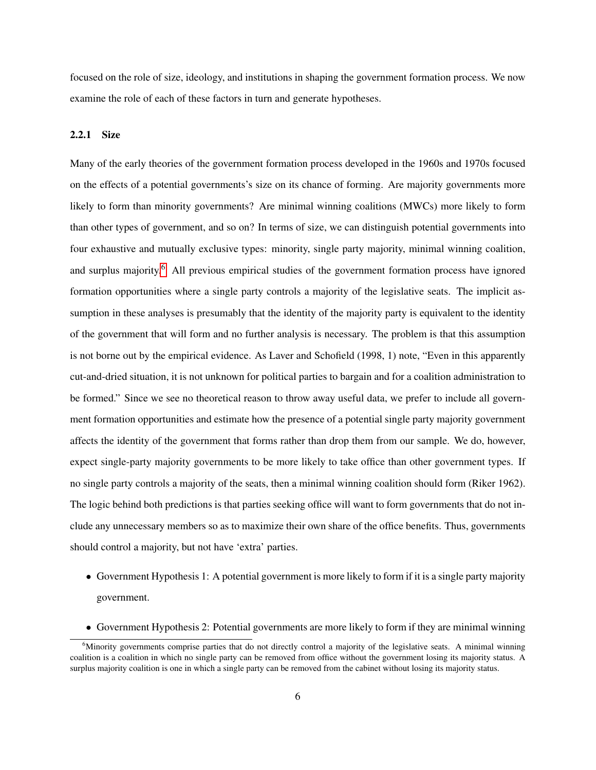focused on the role of size, ideology, and institutions in shaping the government formation process. We now examine the role of each of these factors in turn and generate hypotheses.

### 2.2.1 Size

Many of the early theories of the government formation process developed in the 1960s and 1970s focused on the effects of a potential governments's size on its chance of forming. Are majority governments more likely to form than minority governments? Are minimal winning coalitions (MWCs) more likely to form than other types of government, and so on? In terms of size, we can distinguish potential governments into four exhaustive and mutually exclusive types: minority, single party majority, minimal winning coalition, and surplus majority.<sup>[6](#page-6-0)</sup> All previous empirical studies of the government formation process have ignored formation opportunities where a single party controls a majority of the legislative seats. The implicit assumption in these analyses is presumably that the identity of the majority party is equivalent to the identity of the government that will form and no further analysis is necessary. The problem is that this assumption is not borne out by the empirical evidence. As Laver and Schofield (1998, 1) note, "Even in this apparently cut-and-dried situation, it is not unknown for political parties to bargain and for a coalition administration to be formed." Since we see no theoretical reason to throw away useful data, we prefer to include all government formation opportunities and estimate how the presence of a potential single party majority government affects the identity of the government that forms rather than drop them from our sample. We do, however, expect single-party majority governments to be more likely to take office than other government types. If no single party controls a majority of the seats, then a minimal winning coalition should form (Riker 1962). The logic behind both predictions is that parties seeking office will want to form governments that do not include any unnecessary members so as to maximize their own share of the office benefits. Thus, governments should control a majority, but not have 'extra' parties.

- Government Hypothesis 1: A potential government is more likely to form if it is a single party majority government.
- <span id="page-6-0"></span>• Government Hypothesis 2: Potential governments are more likely to form if they are minimal winning

<sup>&</sup>lt;sup>6</sup>Minority governments comprise parties that do not directly control a majority of the legislative seats. A minimal winning coalition is a coalition in which no single party can be removed from office without the government losing its majority status. A surplus majority coalition is one in which a single party can be removed from the cabinet without losing its majority status.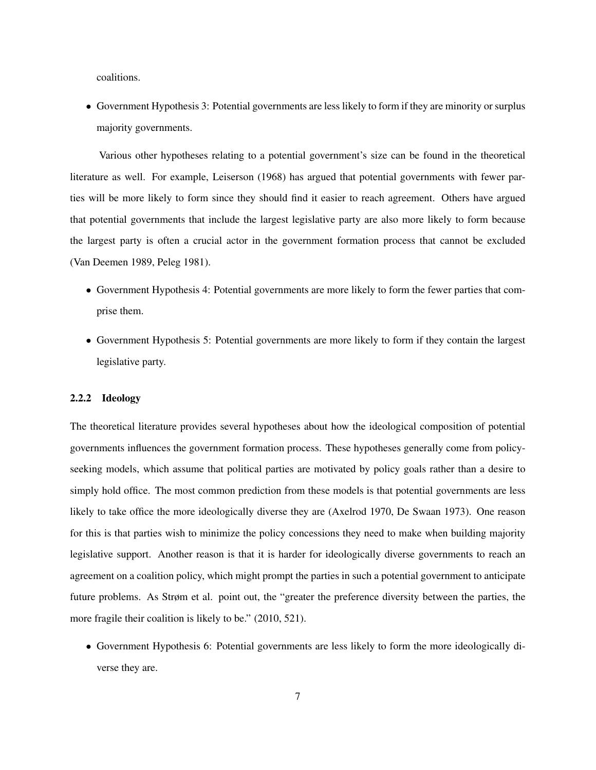coalitions.

• Government Hypothesis 3: Potential governments are less likely to form if they are minority or surplus majority governments.

Various other hypotheses relating to a potential government's size can be found in the theoretical literature as well. For example, Leiserson (1968) has argued that potential governments with fewer parties will be more likely to form since they should find it easier to reach agreement. Others have argued that potential governments that include the largest legislative party are also more likely to form because the largest party is often a crucial actor in the government formation process that cannot be excluded (Van Deemen 1989, Peleg 1981).

- Government Hypothesis 4: Potential governments are more likely to form the fewer parties that comprise them.
- Government Hypothesis 5: Potential governments are more likely to form if they contain the largest legislative party.

#### 2.2.2 Ideology

The theoretical literature provides several hypotheses about how the ideological composition of potential governments influences the government formation process. These hypotheses generally come from policyseeking models, which assume that political parties are motivated by policy goals rather than a desire to simply hold office. The most common prediction from these models is that potential governments are less likely to take office the more ideologically diverse they are (Axelrod 1970, De Swaan 1973). One reason for this is that parties wish to minimize the policy concessions they need to make when building majority legislative support. Another reason is that it is harder for ideologically diverse governments to reach an agreement on a coalition policy, which might prompt the parties in such a potential government to anticipate future problems. As Strøm et al. point out, the "greater the preference diversity between the parties, the more fragile their coalition is likely to be." (2010, 521).

• Government Hypothesis 6: Potential governments are less likely to form the more ideologically diverse they are.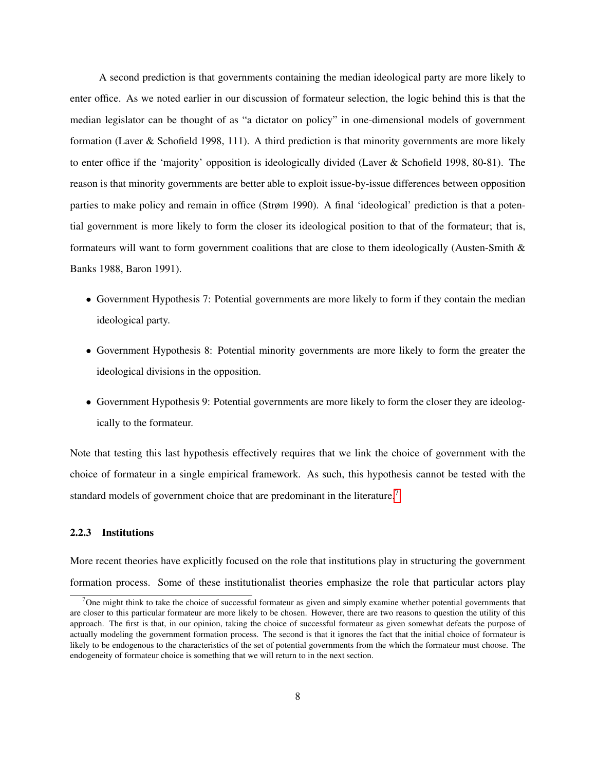A second prediction is that governments containing the median ideological party are more likely to enter office. As we noted earlier in our discussion of formateur selection, the logic behind this is that the median legislator can be thought of as "a dictator on policy" in one-dimensional models of government formation (Laver & Schofield 1998, 111). A third prediction is that minority governments are more likely to enter office if the 'majority' opposition is ideologically divided (Laver & Schofield 1998, 80-81). The reason is that minority governments are better able to exploit issue-by-issue differences between opposition parties to make policy and remain in office (Strøm 1990). A final 'ideological' prediction is that a potential government is more likely to form the closer its ideological position to that of the formateur; that is, formateurs will want to form government coalitions that are close to them ideologically (Austen-Smith  $\&$ Banks 1988, Baron 1991).

- Government Hypothesis 7: Potential governments are more likely to form if they contain the median ideological party.
- Government Hypothesis 8: Potential minority governments are more likely to form the greater the ideological divisions in the opposition.
- Government Hypothesis 9: Potential governments are more likely to form the closer they are ideologically to the formateur.

Note that testing this last hypothesis effectively requires that we link the choice of government with the choice of formateur in a single empirical framework. As such, this hypothesis cannot be tested with the standard models of government choice that are predominant in the literature.<sup>[7](#page-8-0)</sup>

#### 2.2.3 Institutions

More recent theories have explicitly focused on the role that institutions play in structuring the government formation process. Some of these institutionalist theories emphasize the role that particular actors play

<span id="page-8-0"></span> $<sup>7</sup>$ One might think to take the choice of successful formateur as given and simply examine whether potential governments that</sup> are closer to this particular formateur are more likely to be chosen. However, there are two reasons to question the utility of this approach. The first is that, in our opinion, taking the choice of successful formateur as given somewhat defeats the purpose of actually modeling the government formation process. The second is that it ignores the fact that the initial choice of formateur is likely to be endogenous to the characteristics of the set of potential governments from the which the formateur must choose. The endogeneity of formateur choice is something that we will return to in the next section.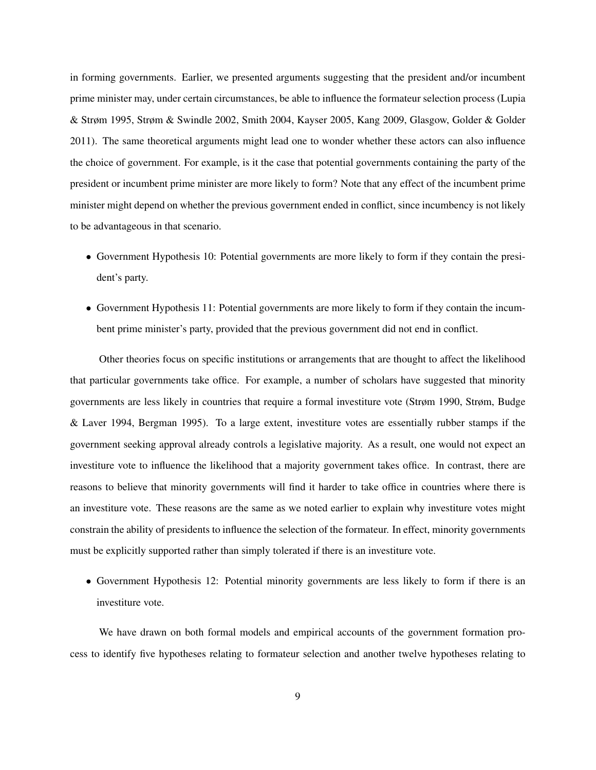in forming governments. Earlier, we presented arguments suggesting that the president and/or incumbent prime minister may, under certain circumstances, be able to influence the formateur selection process (Lupia & Strøm 1995, Strøm & Swindle 2002, Smith 2004, Kayser 2005, Kang 2009, Glasgow, Golder & Golder 2011). The same theoretical arguments might lead one to wonder whether these actors can also influence the choice of government. For example, is it the case that potential governments containing the party of the president or incumbent prime minister are more likely to form? Note that any effect of the incumbent prime minister might depend on whether the previous government ended in conflict, since incumbency is not likely to be advantageous in that scenario.

- Government Hypothesis 10: Potential governments are more likely to form if they contain the president's party.
- Government Hypothesis 11: Potential governments are more likely to form if they contain the incumbent prime minister's party, provided that the previous government did not end in conflict.

Other theories focus on specific institutions or arrangements that are thought to affect the likelihood that particular governments take office. For example, a number of scholars have suggested that minority governments are less likely in countries that require a formal investiture vote (Strøm 1990, Strøm, Budge & Laver 1994, Bergman 1995). To a large extent, investiture votes are essentially rubber stamps if the government seeking approval already controls a legislative majority. As a result, one would not expect an investiture vote to influence the likelihood that a majority government takes office. In contrast, there are reasons to believe that minority governments will find it harder to take office in countries where there is an investiture vote. These reasons are the same as we noted earlier to explain why investiture votes might constrain the ability of presidents to influence the selection of the formateur. In effect, minority governments must be explicitly supported rather than simply tolerated if there is an investiture vote.

• Government Hypothesis 12: Potential minority governments are less likely to form if there is an investiture vote.

We have drawn on both formal models and empirical accounts of the government formation process to identify five hypotheses relating to formateur selection and another twelve hypotheses relating to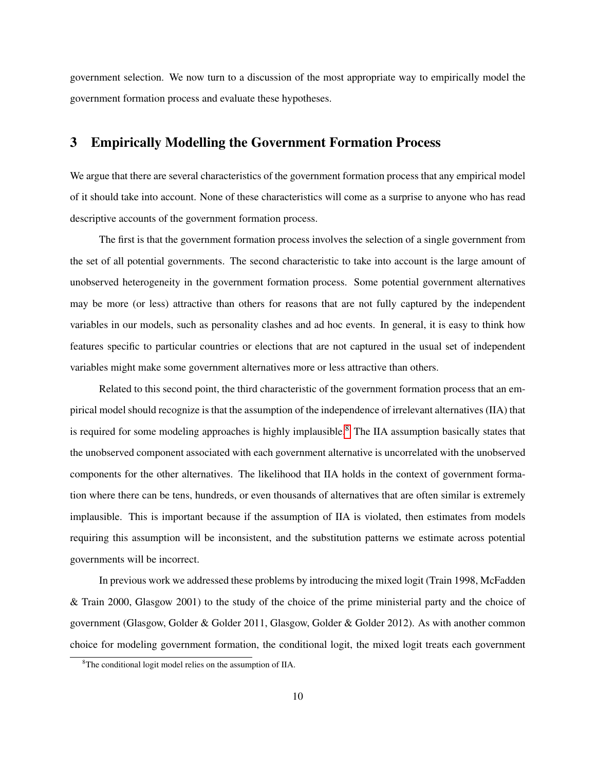government selection. We now turn to a discussion of the most appropriate way to empirically model the government formation process and evaluate these hypotheses.

### 3 Empirically Modelling the Government Formation Process

We argue that there are several characteristics of the government formation process that any empirical model of it should take into account. None of these characteristics will come as a surprise to anyone who has read descriptive accounts of the government formation process.

The first is that the government formation process involves the selection of a single government from the set of all potential governments. The second characteristic to take into account is the large amount of unobserved heterogeneity in the government formation process. Some potential government alternatives may be more (or less) attractive than others for reasons that are not fully captured by the independent variables in our models, such as personality clashes and ad hoc events. In general, it is easy to think how features specific to particular countries or elections that are not captured in the usual set of independent variables might make some government alternatives more or less attractive than others.

Related to this second point, the third characteristic of the government formation process that an empirical model should recognize is that the assumption of the independence of irrelevant alternatives (IIA) that is required for some modeling approaches is highly implausible.<sup>[8](#page-10-0)</sup> The IIA assumption basically states that the unobserved component associated with each government alternative is uncorrelated with the unobserved components for the other alternatives. The likelihood that IIA holds in the context of government formation where there can be tens, hundreds, or even thousands of alternatives that are often similar is extremely implausible. This is important because if the assumption of IIA is violated, then estimates from models requiring this assumption will be inconsistent, and the substitution patterns we estimate across potential governments will be incorrect.

In previous work we addressed these problems by introducing the mixed logit (Train 1998, McFadden & Train 2000, Glasgow 2001) to the study of the choice of the prime ministerial party and the choice of government (Glasgow, Golder & Golder 2011, Glasgow, Golder & Golder 2012). As with another common choice for modeling government formation, the conditional logit, the mixed logit treats each government

<span id="page-10-0"></span><sup>8</sup>The conditional logit model relies on the assumption of IIA.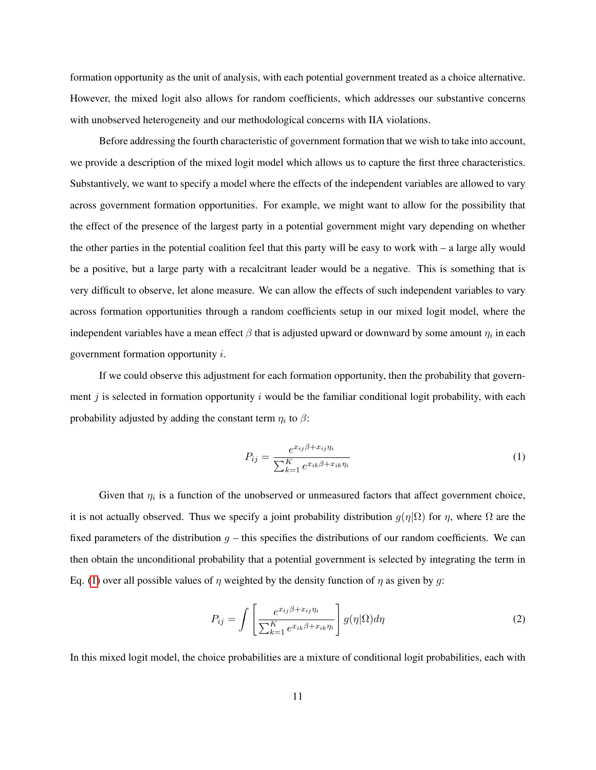formation opportunity as the unit of analysis, with each potential government treated as a choice alternative. However, the mixed logit also allows for random coefficients, which addresses our substantive concerns with unobserved heterogeneity and our methodological concerns with IIA violations.

Before addressing the fourth characteristic of government formation that we wish to take into account, we provide a description of the mixed logit model which allows us to capture the first three characteristics. Substantively, we want to specify a model where the effects of the independent variables are allowed to vary across government formation opportunities. For example, we might want to allow for the possibility that the effect of the presence of the largest party in a potential government might vary depending on whether the other parties in the potential coalition feel that this party will be easy to work with – a large ally would be a positive, but a large party with a recalcitrant leader would be a negative. This is something that is very difficult to observe, let alone measure. We can allow the effects of such independent variables to vary across formation opportunities through a random coefficients setup in our mixed logit model, where the independent variables have a mean effect  $\beta$  that is adjusted upward or downward by some amount  $\eta_i$  in each government formation opportunity i.

If we could observe this adjustment for each formation opportunity, then the probability that government  $j$  is selected in formation opportunity i would be the familiar conditional logit probability, with each probability adjusted by adding the constant term  $\eta_i$  to  $\beta$ :

<span id="page-11-0"></span>
$$
P_{ij} = \frac{e^{x_{ij}\beta + x_{ij}\eta_i}}{\sum_{k=1}^{K} e^{x_{ik}\beta + x_{ik}\eta_i}}
$$
\n
$$
\tag{1}
$$

Given that  $\eta_i$  is a function of the unobserved or unmeasured factors that affect government choice, it is not actually observed. Thus we specify a joint probability distribution  $q(\eta|\Omega)$  for  $\eta$ , where  $\Omega$  are the fixed parameters of the distribution  $q$  – this specifies the distributions of our random coefficients. We can then obtain the unconditional probability that a potential government is selected by integrating the term in Eq. [\(1\)](#page-11-0) over all possible values of  $\eta$  weighted by the density function of  $\eta$  as given by g:

<span id="page-11-1"></span>
$$
P_{ij} = \int \left[ \frac{e^{x_{ij}\beta + x_{ij}\eta_i}}{\sum_{k=1}^K e^{x_{ik}\beta + x_{ik}\eta_i}} \right] g(\eta|\Omega) d\eta \tag{2}
$$

In this mixed logit model, the choice probabilities are a mixture of conditional logit probabilities, each with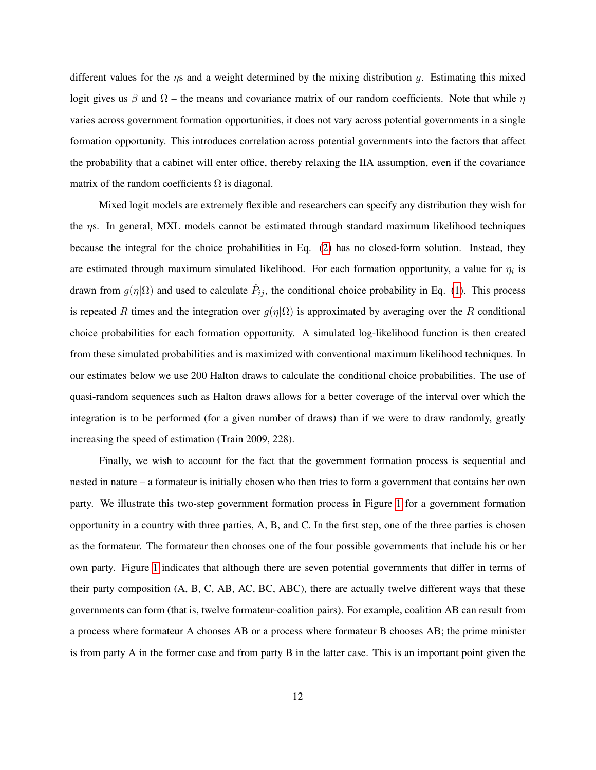different values for the  $\eta s$  and a weight determined by the mixing distribution g. Estimating this mixed logit gives us  $\beta$  and  $\Omega$  – the means and covariance matrix of our random coefficients. Note that while  $\eta$ varies across government formation opportunities, it does not vary across potential governments in a single formation opportunity. This introduces correlation across potential governments into the factors that affect the probability that a cabinet will enter office, thereby relaxing the IIA assumption, even if the covariance matrix of the random coefficients  $\Omega$  is diagonal.

Mixed logit models are extremely flexible and researchers can specify any distribution they wish for the ηs. In general, MXL models cannot be estimated through standard maximum likelihood techniques because the integral for the choice probabilities in Eq. [\(2\)](#page-11-1) has no closed-form solution. Instead, they are estimated through maximum simulated likelihood. For each formation opportunity, a value for  $\eta_i$  is drawn from  $g(\eta|\Omega)$  and used to calculate  $\hat{P}_{ij}$ , the conditional choice probability in Eq. [\(1\)](#page-11-0). This process is repeated R times and the integration over  $g(\eta|\Omega)$  is approximated by averaging over the R conditional choice probabilities for each formation opportunity. A simulated log-likelihood function is then created from these simulated probabilities and is maximized with conventional maximum likelihood techniques. In our estimates below we use 200 Halton draws to calculate the conditional choice probabilities. The use of quasi-random sequences such as Halton draws allows for a better coverage of the interval over which the integration is to be performed (for a given number of draws) than if we were to draw randomly, greatly increasing the speed of estimation (Train 2009, 228).

Finally, we wish to account for the fact that the government formation process is sequential and nested in nature – a formateur is initially chosen who then tries to form a government that contains her own party. We illustrate this two-step government formation process in Figure [1](#page-13-0) for a government formation opportunity in a country with three parties, A, B, and C. In the first step, one of the three parties is chosen as the formateur. The formateur then chooses one of the four possible governments that include his or her own party. Figure [1](#page-13-0) indicates that although there are seven potential governments that differ in terms of their party composition (A, B, C, AB, AC, BC, ABC), there are actually twelve different ways that these governments can form (that is, twelve formateur-coalition pairs). For example, coalition AB can result from a process where formateur A chooses AB or a process where formateur B chooses AB; the prime minister is from party A in the former case and from party B in the latter case. This is an important point given the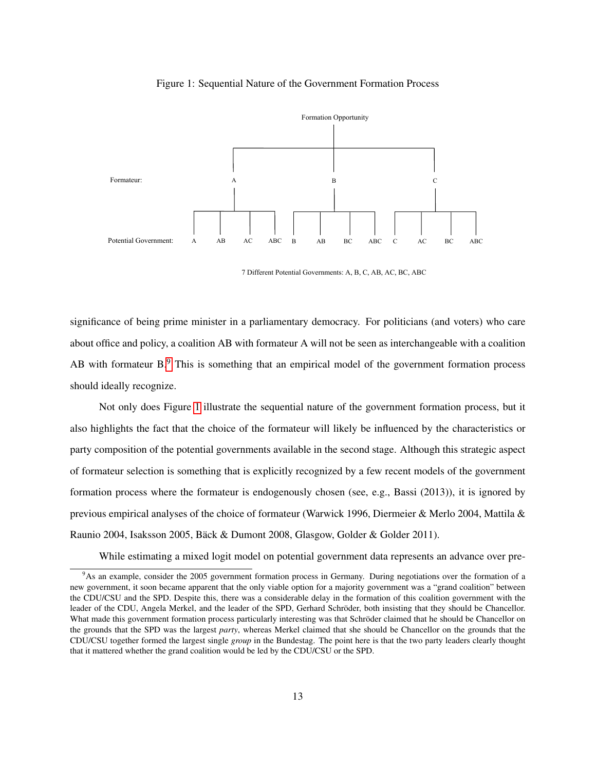

### <span id="page-13-0"></span>Figure 1: Sequential Nature of the Government Formation Process

7 Different Potential Governments: A, B, C, AB, AC, BC, ABC

significance of being prime minister in a parliamentary democracy. For politicians (and voters) who care about office and policy, a coalition AB with formateur A will not be seen as interchangeable with a coalition AB with formateur B.<sup>[9](#page-13-1)</sup> This is something that an empirical model of the government formation process should ideally recognize.

Not only does Figure [1](#page-13-0) illustrate the sequential nature of the government formation process, but it also highlights the fact that the choice of the formateur will likely be influenced by the characteristics or party composition of the potential governments available in the second stage. Although this strategic aspect of formateur selection is something that is explicitly recognized by a few recent models of the government formation process where the formateur is endogenously chosen (see, e.g., Bassi (2013)), it is ignored by previous empirical analyses of the choice of formateur (Warwick 1996, Diermeier & Merlo 2004, Mattila & Raunio 2004, Isaksson 2005, Bäck & Dumont 2008, Glasgow, Golder & Golder 2011).

While estimating a mixed logit model on potential government data represents an advance over pre-

<span id="page-13-1"></span><sup>1</sup> new government, it soon became apparent that the only viable option for a majority government was a "grand coalition" between <sup>9</sup>As an example, consider the 2005 government formation process in Germany. During negotiations over the formation of a the CDU/CSU and the SPD. Despite this, there was a considerable delay in the formation of this coalition government with the leader of the CDU, Angela Merkel, and the leader of the SPD, Gerhard Schröder, both insisting that they should be Chancellor. What made this government formation process particularly interesting was that Schröder claimed that he should be Chancellor on the grounds that the SPD was the largest *party*, whereas Merkel claimed that she should be Chancellor on the grounds that the CDU/CSU together formed the largest single *group* in the Bundestag. The point here is that the two party leaders clearly thought that it mattered whether the grand coalition would be led by the CDU/CSU or the SPD.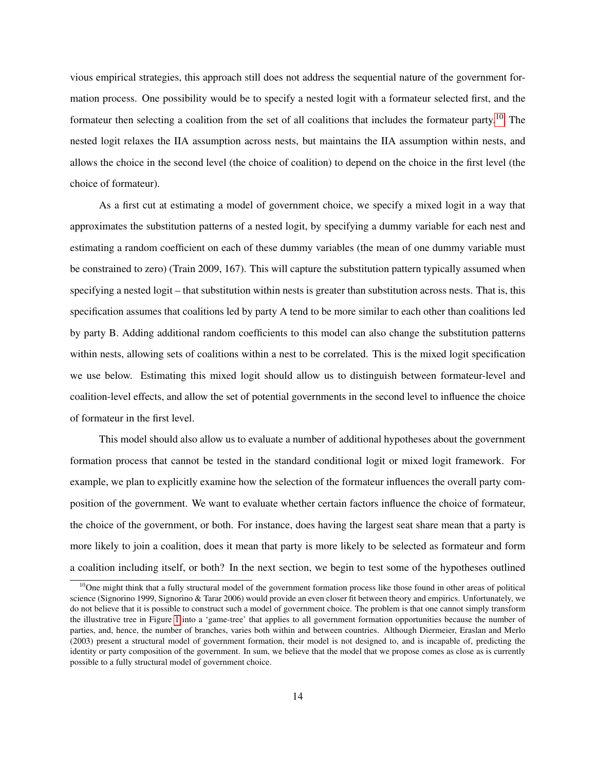vious empirical strategies, this approach still does not address the sequential nature of the government formation process. One possibility would be to specify a nested logit with a formateur selected first, and the formateur then selecting a coalition from the set of all coalitions that includes the formateur party.[10](#page-14-0) The nested logit relaxes the IIA assumption across nests, but maintains the IIA assumption within nests, and allows the choice in the second level (the choice of coalition) to depend on the choice in the first level (the choice of formateur).

As a first cut at estimating a model of government choice, we specify a mixed logit in a way that approximates the substitution patterns of a nested logit, by specifying a dummy variable for each nest and estimating a random coefficient on each of these dummy variables (the mean of one dummy variable must be constrained to zero) (Train 2009, 167). This will capture the substitution pattern typically assumed when specifying a nested logit – that substitution within nests is greater than substitution across nests. That is, this specification assumes that coalitions led by party A tend to be more similar to each other than coalitions led by party B. Adding additional random coefficients to this model can also change the substitution patterns within nests, allowing sets of coalitions within a nest to be correlated. This is the mixed logit specification we use below. Estimating this mixed logit should allow us to distinguish between formateur-level and coalition-level effects, and allow the set of potential governments in the second level to influence the choice of formateur in the first level.

This model should also allow us to evaluate a number of additional hypotheses about the government formation process that cannot be tested in the standard conditional logit or mixed logit framework. For example, we plan to explicitly examine how the selection of the formateur influences the overall party composition of the government. We want to evaluate whether certain factors influence the choice of formateur, the choice of the government, or both. For instance, does having the largest seat share mean that a party is more likely to join a coalition, does it mean that party is more likely to be selected as formateur and form a coalition including itself, or both? In the next section, we begin to test some of the hypotheses outlined

<span id="page-14-0"></span> $10$ One might think that a fully structural model of the government formation process like those found in other areas of political science (Signorino 1999, Signorino & Tarar 2006) would provide an even closer fit between theory and empirics. Unfortunately, we do not believe that it is possible to construct such a model of government choice. The problem is that one cannot simply transform the illustrative tree in Figure [1](#page-13-0) into a 'game-tree' that applies to all government formation opportunities because the number of parties, and, hence, the number of branches, varies both within and between countries. Although Diermeier, Eraslan and Merlo (2003) present a structural model of government formation, their model is not designed to, and is incapable of, predicting the identity or party composition of the government. In sum, we believe that the model that we propose comes as close as is currently possible to a fully structural model of government choice.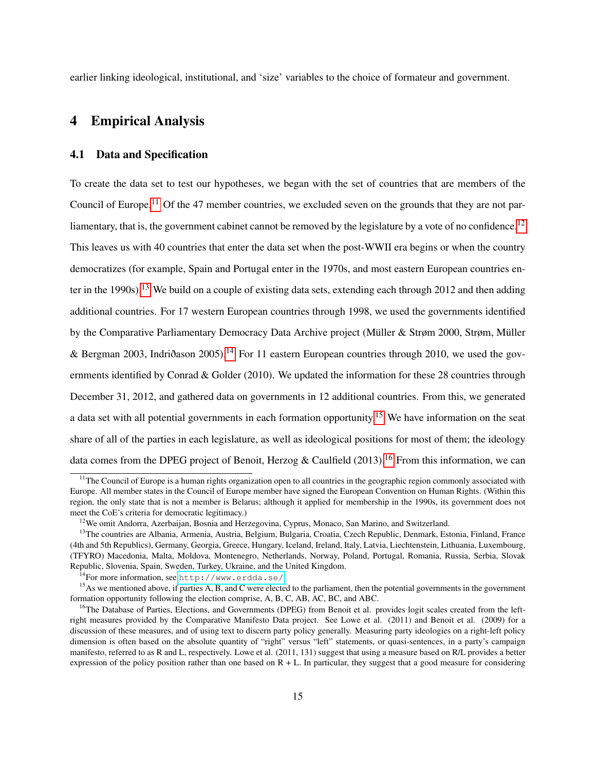earlier linking ideological, institutional, and 'size' variables to the choice of formateur and government.

# 4 Empirical Analysis

### 4.1 Data and Specification

To create the data set to test our hypotheses, we began with the set of countries that are members of the Council of Europe.<sup>[11](#page-15-0)</sup> Of the 47 member countries, we excluded seven on the grounds that they are not par-liamentary, that is, the government cabinet cannot be removed by the legislature by a vote of no confidence.<sup>[12](#page-15-1)</sup> This leaves us with 40 countries that enter the data set when the post-WWII era begins or when the country democratizes (for example, Spain and Portugal enter in the 1970s, and most eastern European countries en-ter in the 1990s).<sup>[13](#page-15-2)</sup> We build on a couple of existing data sets, extending each through 2012 and then adding additional countries. For 17 western European countries through 1998, we used the governments identified by the Comparative Parliamentary Democracy Data Archive project (Müller & Strøm 2000, Strøm, Müller & Bergman 2003, Indriðason 2005).<sup>[14](#page-15-3)</sup> For 11 eastern European countries through 2010, we used the governments identified by Conrad & Golder (2010). We updated the information for these 28 countries through December 31, 2012, and gathered data on governments in 12 additional countries. From this, we generated a data set with all potential governments in each formation opportunity.<sup>[15](#page-15-4)</sup> We have information on the seat share of all of the parties in each legislature, as well as ideological positions for most of them; the ideology data comes from the DPEG project of Benoit, Herzog & Caulfield (2013).<sup>[16](#page-15-5)</sup> From this information, we can

<span id="page-15-0"></span> $11$ The Council of Europe is a human rights organization open to all countries in the geographic region commonly associated with Europe. All member states in the Council of Europe member have signed the European Convention on Human Rights. (Within this region, the only state that is not a member is Belarus; although it applied for membership in the 1990s, its government does not meet the CoE's criteria for democratic legitimacy.)

<span id="page-15-2"></span><span id="page-15-1"></span><sup>&</sup>lt;sup>12</sup>We omit Andorra, Azerbaijan, Bosnia and Herzegovina, Cyprus, Monaco, San Marino, and Switzerland.

<sup>&</sup>lt;sup>13</sup>The countries are Albania, Armenia, Austria, Belgium, Bulgaria, Croatia, Czech Republic, Denmark, Estonia, Finland, France (4th and 5th Republics), Germany, Georgia, Greece, Hungary, Iceland, Ireland, Italy, Latvia, Liechtenstein, Lithuania, Luxembourg, (TFYRO) Macedonia, Malta, Moldova, Montenegro, Netherlands, Norway, Poland, Portugal, Romania, Russia, Serbia, Slovak Republic, Slovenia, Spain, Sweden, Turkey, Ukraine, and the United Kingdom.

<span id="page-15-4"></span><span id="page-15-3"></span> $14$ For more information, see <http://www.erdda.se/>.

 $<sup>15</sup>$ As we mentioned above, if parties A, B, and C were elected to the parliament, then the potential governments in the government</sup> formation opportunity following the election comprise, A, B, C, AB, AC, BC, and ABC.

<span id="page-15-5"></span><sup>&</sup>lt;sup>16</sup>The Database of Parties, Elections, and Governments (DPEG) from Benoit et al. provides logit scales created from the leftright measures provided by the Comparative Manifesto Data project. See Lowe et al. (2011) and Benoit et al. (2009) for a discussion of these measures, and of using text to discern party policy generally. Measuring party ideologies on a right-left policy dimension is often based on the absolute quantity of "right" versus "left" statements, or quasi-sentences, in a party's campaign manifesto, referred to as R and L, respectively. Lowe et al. (2011, 131) suggest that using a measure based on R/L provides a better expression of the policy position rather than one based on  $R + L$ . In particular, they suggest that a good measure for considering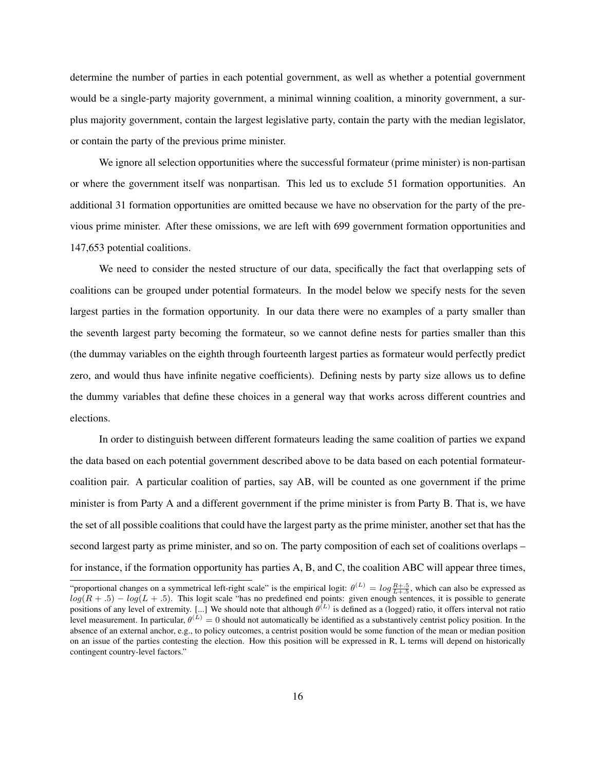determine the number of parties in each potential government, as well as whether a potential government would be a single-party majority government, a minimal winning coalition, a minority government, a surplus majority government, contain the largest legislative party, contain the party with the median legislator, or contain the party of the previous prime minister.

We ignore all selection opportunities where the successful formateur (prime minister) is non-partisan or where the government itself was nonpartisan. This led us to exclude 51 formation opportunities. An additional 31 formation opportunities are omitted because we have no observation for the party of the previous prime minister. After these omissions, we are left with 699 government formation opportunities and 147,653 potential coalitions.

We need to consider the nested structure of our data, specifically the fact that overlapping sets of coalitions can be grouped under potential formateurs. In the model below we specify nests for the seven largest parties in the formation opportunity. In our data there were no examples of a party smaller than the seventh largest party becoming the formateur, so we cannot define nests for parties smaller than this (the dummay variables on the eighth through fourteenth largest parties as formateur would perfectly predict zero, and would thus have infinite negative coefficients). Defining nests by party size allows us to define the dummy variables that define these choices in a general way that works across different countries and elections.

In order to distinguish between different formateurs leading the same coalition of parties we expand the data based on each potential government described above to be data based on each potential formateurcoalition pair. A particular coalition of parties, say AB, will be counted as one government if the prime minister is from Party A and a different government if the prime minister is from Party B. That is, we have the set of all possible coalitions that could have the largest party as the prime minister, another set that has the second largest party as prime minister, and so on. The party composition of each set of coalitions overlaps – for instance, if the formation opportunity has parties A, B, and C, the coalition ABC will appear three times,

<sup>&</sup>quot;proportional changes on a symmetrical left-right scale" is the empirical logit:  $\theta^{(L)} = log \frac{R+5}{L+5}$ , which can also be expressed as  $log(R + .5) - log(L + .5)$ . This logit scale "has no predefined end points: given enough sentences, it is possible to generate positions of any level of extremity. [...] We should note that although  $\theta^{(L)}$  is defined as a (logged) ratio, it offers interval not ratio level measurement. In particular,  $\theta^{(L)} = 0$  should not automatically be identified as a substantively centrist policy position. In the absence of an external anchor, e.g., to policy outcomes, a centrist position would be some function of the mean or median position on an issue of the parties contesting the election. How this position will be expressed in R, L terms will depend on historically contingent country-level factors."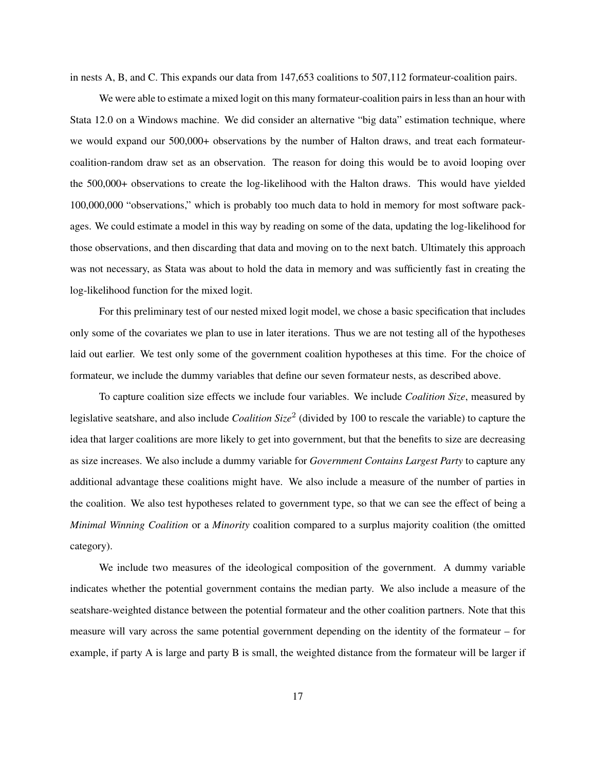in nests A, B, and C. This expands our data from 147,653 coalitions to 507,112 formateur-coalition pairs.

We were able to estimate a mixed logit on this many formateur-coalition pairs in less than an hour with Stata 12.0 on a Windows machine. We did consider an alternative "big data" estimation technique, where we would expand our 500,000+ observations by the number of Halton draws, and treat each formateurcoalition-random draw set as an observation. The reason for doing this would be to avoid looping over the 500,000+ observations to create the log-likelihood with the Halton draws. This would have yielded 100,000,000 "observations," which is probably too much data to hold in memory for most software packages. We could estimate a model in this way by reading on some of the data, updating the log-likelihood for those observations, and then discarding that data and moving on to the next batch. Ultimately this approach was not necessary, as Stata was about to hold the data in memory and was sufficiently fast in creating the log-likelihood function for the mixed logit.

For this preliminary test of our nested mixed logit model, we chose a basic specification that includes only some of the covariates we plan to use in later iterations. Thus we are not testing all of the hypotheses laid out earlier. We test only some of the government coalition hypotheses at this time. For the choice of formateur, we include the dummy variables that define our seven formateur nests, as described above.

To capture coalition size effects we include four variables. We include *Coalition Size*, measured by legislative seatshare, and also include *Coalition Size*<sup>2</sup> (divided by 100 to rescale the variable) to capture the idea that larger coalitions are more likely to get into government, but that the benefits to size are decreasing as size increases. We also include a dummy variable for *Government Contains Largest Party* to capture any additional advantage these coalitions might have. We also include a measure of the number of parties in the coalition. We also test hypotheses related to government type, so that we can see the effect of being a *Minimal Winning Coalition* or a *Minority* coalition compared to a surplus majority coalition (the omitted category).

We include two measures of the ideological composition of the government. A dummy variable indicates whether the potential government contains the median party. We also include a measure of the seatshare-weighted distance between the potential formateur and the other coalition partners. Note that this measure will vary across the same potential government depending on the identity of the formateur – for example, if party A is large and party B is small, the weighted distance from the formateur will be larger if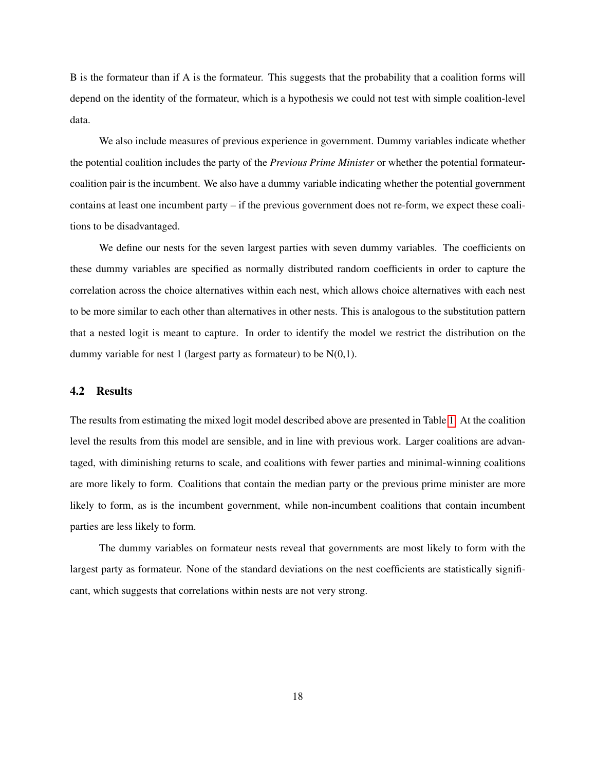B is the formateur than if A is the formateur. This suggests that the probability that a coalition forms will depend on the identity of the formateur, which is a hypothesis we could not test with simple coalition-level data.

We also include measures of previous experience in government. Dummy variables indicate whether the potential coalition includes the party of the *Previous Prime Minister* or whether the potential formateurcoalition pair is the incumbent. We also have a dummy variable indicating whether the potential government contains at least one incumbent party – if the previous government does not re-form, we expect these coalitions to be disadvantaged.

We define our nests for the seven largest parties with seven dummy variables. The coefficients on these dummy variables are specified as normally distributed random coefficients in order to capture the correlation across the choice alternatives within each nest, which allows choice alternatives with each nest to be more similar to each other than alternatives in other nests. This is analogous to the substitution pattern that a nested logit is meant to capture. In order to identify the model we restrict the distribution on the dummy variable for nest 1 (largest party as formateur) to be  $N(0,1)$ .

### 4.2 Results

The results from estimating the mixed logit model described above are presented in Table [1.](#page-19-0) At the coalition level the results from this model are sensible, and in line with previous work. Larger coalitions are advantaged, with diminishing returns to scale, and coalitions with fewer parties and minimal-winning coalitions are more likely to form. Coalitions that contain the median party or the previous prime minister are more likely to form, as is the incumbent government, while non-incumbent coalitions that contain incumbent parties are less likely to form.

The dummy variables on formateur nests reveal that governments are most likely to form with the largest party as formateur. None of the standard deviations on the nest coefficients are statistically significant, which suggests that correlations within nests are not very strong.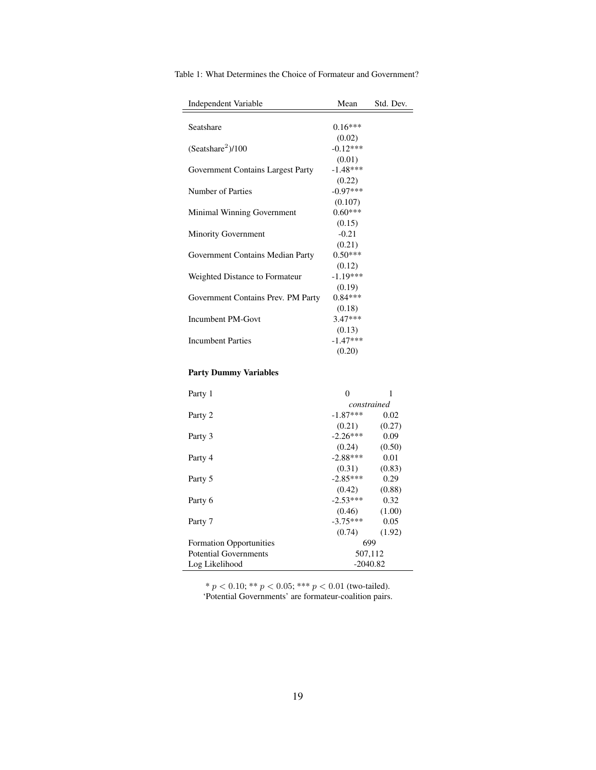| <b>Independent Variable</b>        | Mean       | Std. Dev. |
|------------------------------------|------------|-----------|
|                                    |            |           |
| Seatshare                          | $0.16***$  |           |
|                                    | (0.02)     |           |
| (Seatshare <sup>2</sup> )/100      | $-0.12***$ |           |
|                                    | (0.01)     |           |
| Government Contains Largest Party  | $-1.48***$ |           |
|                                    | (0.22)     |           |
| Number of Parties                  | $-0.97***$ |           |
|                                    | (0.107)    |           |
| Minimal Winning Government         | $0.60***$  |           |
|                                    | (0.15)     |           |
| <b>Minority Government</b>         | $-0.21$    |           |
|                                    | (0.21)     |           |
| Government Contains Median Party   | $0.50***$  |           |
|                                    | (0.12)     |           |
| Weighted Distance to Formateur     | $-1.19***$ |           |
|                                    | (0.19)     |           |
| Government Contains Prev. PM Party | $0.84***$  |           |
|                                    | (0.18)     |           |
| Incumbent PM-Govt                  | $3.47***$  |           |
|                                    | (0.13)     |           |
| <b>Incumbent Parties</b>           | $-1.47***$ |           |
|                                    | (0.20)     |           |
|                                    |            |           |

<span id="page-19-0"></span>Table 1: What Determines the Choice of Formateur and Government?

### Party Dummy Variables

| Party 1                        | 0          |                |  |
|--------------------------------|------------|----------------|--|
|                                |            | constrained    |  |
| Party 2                        | $-1.87***$ | 0.02           |  |
|                                | (0.21)     | (0.27)         |  |
| Party 3                        | $-2.26***$ | 0.09           |  |
|                                | (0.24)     | (0.50)         |  |
| Party 4                        | $-2.88***$ | 0.01           |  |
|                                | (0.31)     | (0.83)         |  |
| Party 5                        | $-2.85***$ | 0.29           |  |
|                                | (0.42)     | (0.88)         |  |
| Party 6                        | $-2.53***$ | 0.32           |  |
|                                | (0.46)     | (1.00)         |  |
| Party 7                        | $-3.75***$ | 0.05           |  |
|                                | (0.74)     | (1.92)         |  |
| <b>Formation Opportunities</b> |            | 699<br>507,112 |  |
| <b>Potential Governments</b>   |            |                |  |
| Log Likelihood                 | $-2040.82$ |                |  |

\*  $p < 0.10$ ; \*\*  $p < 0.05$ ; \*\*\*  $p < 0.01$  (two-tailed). 'Potential Governments' are formateur-coalition pairs.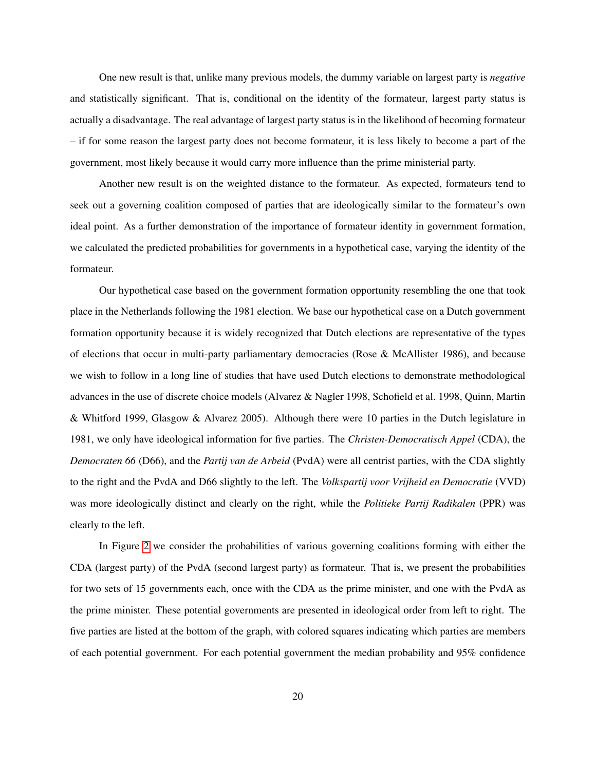One new result is that, unlike many previous models, the dummy variable on largest party is *negative* and statistically significant. That is, conditional on the identity of the formateur, largest party status is actually a disadvantage. The real advantage of largest party status is in the likelihood of becoming formateur – if for some reason the largest party does not become formateur, it is less likely to become a part of the government, most likely because it would carry more influence than the prime ministerial party.

Another new result is on the weighted distance to the formateur. As expected, formateurs tend to seek out a governing coalition composed of parties that are ideologically similar to the formateur's own ideal point. As a further demonstration of the importance of formateur identity in government formation, we calculated the predicted probabilities for governments in a hypothetical case, varying the identity of the formateur.

Our hypothetical case based on the government formation opportunity resembling the one that took place in the Netherlands following the 1981 election. We base our hypothetical case on a Dutch government formation opportunity because it is widely recognized that Dutch elections are representative of the types of elections that occur in multi-party parliamentary democracies (Rose & McAllister 1986), and because we wish to follow in a long line of studies that have used Dutch elections to demonstrate methodological advances in the use of discrete choice models (Alvarez & Nagler 1998, Schofield et al. 1998, Quinn, Martin & Whitford 1999, Glasgow & Alvarez 2005). Although there were 10 parties in the Dutch legislature in 1981, we only have ideological information for five parties. The *Christen-Democratisch Appel* (CDA), the *Democraten 66* (D66), and the *Partij van de Arbeid* (PvdA) were all centrist parties, with the CDA slightly to the right and the PvdA and D66 slightly to the left. The *Volkspartij voor Vrijheid en Democratie* (VVD) was more ideologically distinct and clearly on the right, while the *Politieke Partij Radikalen* (PPR) was clearly to the left.

In Figure [2](#page-21-0) we consider the probabilities of various governing coalitions forming with either the CDA (largest party) of the PvdA (second largest party) as formateur. That is, we present the probabilities for two sets of 15 governments each, once with the CDA as the prime minister, and one with the PvdA as the prime minister. These potential governments are presented in ideological order from left to right. The five parties are listed at the bottom of the graph, with colored squares indicating which parties are members of each potential government. For each potential government the median probability and 95% confidence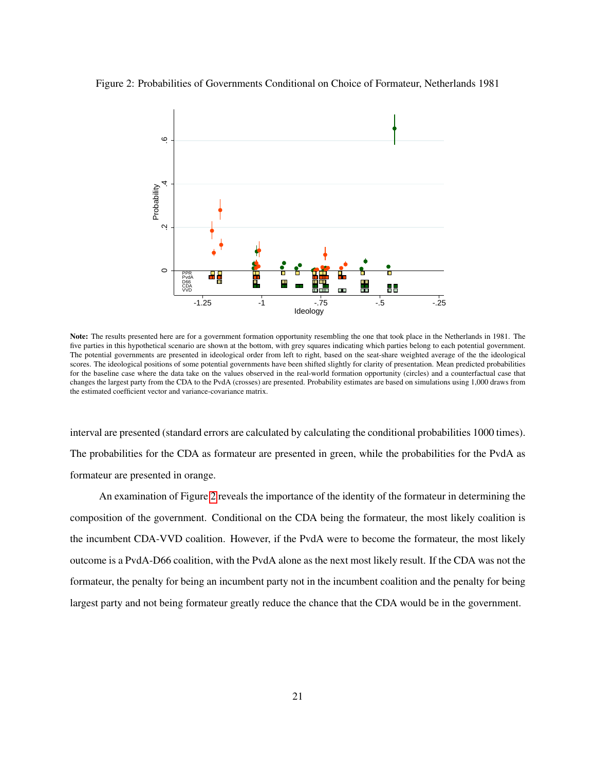

<span id="page-21-0"></span>

Note: The results presented here are for a government formation opportunity resembling the one that took place in the Netherlands in 1981. The five parties in this hypothetical scenario are shown at the bottom, with grey squares indicating which parties belong to each potential government. The potential governments are presented in ideological order from left to right, based on the seat-share weighted average of the the ideological scores. The ideological positions of some potential governments have been shifted slightly for clarity of presentation. Mean predicted probabilities for the baseline case where the data take on the values observed in the real-world formation opportunity (circles) and a counterfactual case that changes the largest party from the CDA to the PvdA (crosses) are presented. Probability estimates are based on simulations using 1,000 draws from the estimated coefficient vector and variance-covariance matrix.

interval are presented (standard errors are calculated by calculating the conditional probabilities 1000 times). The probabilities for the CDA as formateur are presented in green, while the probabilities for the PvdA as formateur are presented in orange.

An examination of Figure [2](#page-21-0) reveals the importance of the identity of the formateur in determining the composition of the government. Conditional on the CDA being the formateur, the most likely coalition is the incumbent CDA-VVD coalition. However, if the PvdA were to become the formateur, the most likely outcome is a PvdA-D66 coalition, with the PvdA alone as the next most likely result. If the CDA was not the formateur, the penalty for being an incumbent party not in the incumbent coalition and the penalty for being largest party and not being formateur greatly reduce the chance that the CDA would be in the government.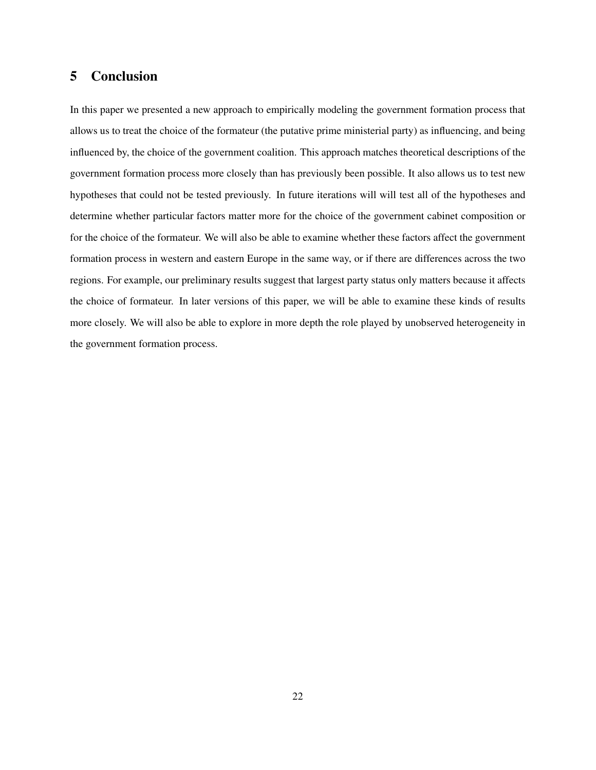# 5 Conclusion

In this paper we presented a new approach to empirically modeling the government formation process that allows us to treat the choice of the formateur (the putative prime ministerial party) as influencing, and being influenced by, the choice of the government coalition. This approach matches theoretical descriptions of the government formation process more closely than has previously been possible. It also allows us to test new hypotheses that could not be tested previously. In future iterations will will test all of the hypotheses and determine whether particular factors matter more for the choice of the government cabinet composition or for the choice of the formateur. We will also be able to examine whether these factors affect the government formation process in western and eastern Europe in the same way, or if there are differences across the two regions. For example, our preliminary results suggest that largest party status only matters because it affects the choice of formateur. In later versions of this paper, we will be able to examine these kinds of results more closely. We will also be able to explore in more depth the role played by unobserved heterogeneity in the government formation process.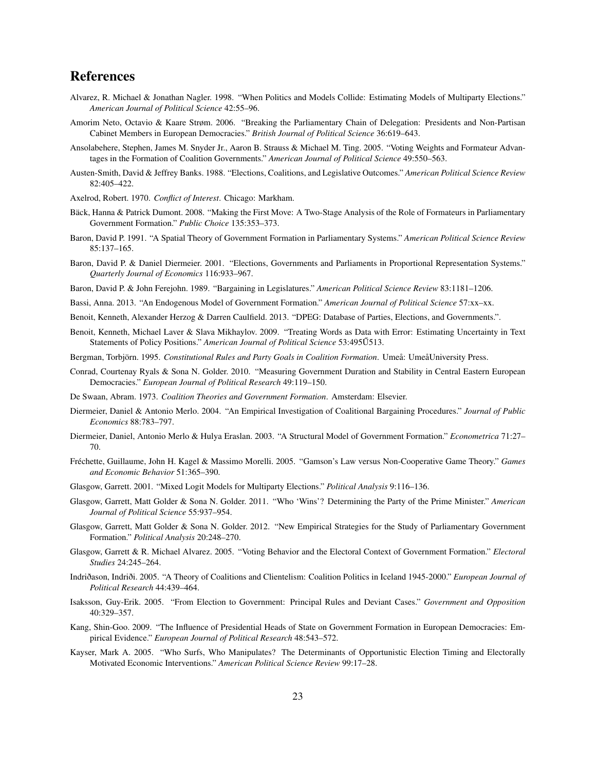# References

- Alvarez, R. Michael & Jonathan Nagler. 1998. "When Politics and Models Collide: Estimating Models of Multiparty Elections." *American Journal of Political Science* 42:55–96.
- Amorim Neto, Octavio & Kaare Strøm. 2006. "Breaking the Parliamentary Chain of Delegation: Presidents and Non-Partisan Cabinet Members in European Democracies." *British Journal of Political Science* 36:619–643.
- Ansolabehere, Stephen, James M. Snyder Jr., Aaron B. Strauss & Michael M. Ting. 2005. "Voting Weights and Formateur Advantages in the Formation of Coalition Governments." *American Journal of Political Science* 49:550–563.
- Austen-Smith, David & Jeffrey Banks. 1988. "Elections, Coalitions, and Legislative Outcomes." *American Political Science Review* 82:405–422.
- Axelrod, Robert. 1970. *Conflict of Interest*. Chicago: Markham.
- Bäck, Hanna & Patrick Dumont. 2008. "Making the First Move: A Two-Stage Analysis of the Role of Formateurs in Parliamentary Government Formation." *Public Choice* 135:353–373.
- Baron, David P. 1991. "A Spatial Theory of Government Formation in Parliamentary Systems." *American Political Science Review* 85:137–165.
- Baron, David P. & Daniel Diermeier. 2001. "Elections, Governments and Parliaments in Proportional Representation Systems." *Quarterly Journal of Economics* 116:933–967.
- Baron, David P. & John Ferejohn. 1989. "Bargaining in Legislatures." *American Political Science Review* 83:1181–1206.
- Bassi, Anna. 2013. "An Endogenous Model of Government Formation." *American Journal of Political Science* 57:xx–xx.
- Benoit, Kenneth, Alexander Herzog & Darren Caulfield. 2013. "DPEG: Database of Parties, Elections, and Governments.".
- Benoit, Kenneth, Michael Laver & Slava Mikhaylov. 2009. "Treating Words as Data with Error: Estimating Uncertainty in Text Statements of Policy Positions." *American Journal of Political Science* 53:495U513.
- Bergman, Torbjörn. 1995. Constitutional Rules and Party Goals in Coalition Formation. Umeå: UmeåUniversity Press.
- Conrad, Courtenay Ryals & Sona N. Golder. 2010. "Measuring Government Duration and Stability in Central Eastern European Democracies." *European Journal of Political Research* 49:119–150.
- De Swaan, Abram. 1973. *Coalition Theories and Government Formation*. Amsterdam: Elsevier.
- Diermeier, Daniel & Antonio Merlo. 2004. "An Empirical Investigation of Coalitional Bargaining Procedures." *Journal of Public Economics* 88:783–797.
- Diermeier, Daniel, Antonio Merlo & Hulya Eraslan. 2003. "A Structural Model of Government Formation." *Econometrica* 71:27– 70.
- Fréchette, Guillaume, John H. Kagel & Massimo Morelli. 2005. "Gamson's Law versus Non-Cooperative Game Theory." *Games and Economic Behavior* 51:365–390.
- Glasgow, Garrett. 2001. "Mixed Logit Models for Multiparty Elections." *Political Analysis* 9:116–136.
- Glasgow, Garrett, Matt Golder & Sona N. Golder. 2011. "Who 'Wins'? Determining the Party of the Prime Minister." *American Journal of Political Science* 55:937–954.
- Glasgow, Garrett, Matt Golder & Sona N. Golder. 2012. "New Empirical Strategies for the Study of Parliamentary Government Formation." *Political Analysis* 20:248–270.
- Glasgow, Garrett & R. Michael Alvarez. 2005. "Voting Behavior and the Electoral Context of Government Formation." *Electoral Studies* 24:245–264.
- Indriðason, Indriði. 2005. "A Theory of Coalitions and Clientelism: Coalition Politics in Iceland 1945-2000." *European Journal of Political Research* 44:439–464.
- Isaksson, Guy-Erik. 2005. "From Election to Government: Principal Rules and Deviant Cases." *Government and Opposition* 40:329–357.
- Kang, Shin-Goo. 2009. "The Influence of Presidential Heads of State on Government Formation in European Democracies: Empirical Evidence." *European Journal of Political Research* 48:543–572.
- Kayser, Mark A. 2005. "Who Surfs, Who Manipulates? The Determinants of Opportunistic Election Timing and Electorally Motivated Economic Interventions." *American Political Science Review* 99:17–28.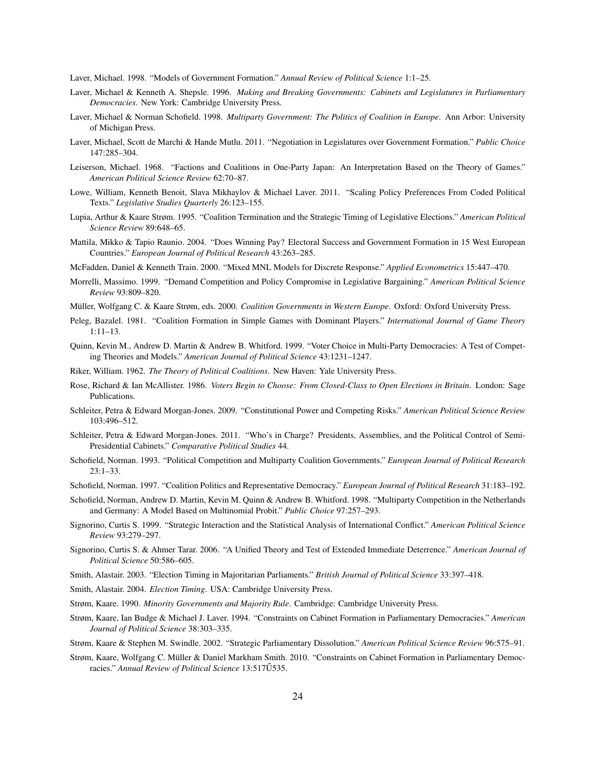Laver, Michael. 1998. "Models of Government Formation." *Annual Review of Political Science* 1:1–25.

- Laver, Michael & Kenneth A. Shepsle. 1996. *Making and Breaking Governments: Cabinets and Legislatures in Parliamentary Democracies*. New York: Cambridge University Press.
- Laver, Michael & Norman Schofield. 1998. *Multiparty Government: The Politics of Coalition in Europe*. Ann Arbor: University of Michigan Press.
- Laver, Michael, Scott de Marchi & Hande Mutlu. 2011. "Negotiation in Legislatures over Government Formation." *Public Choice* 147:285–304.
- Leiserson, Michael. 1968. "Factions and Coalitions in One-Party Japan: An Interpretation Based on the Theory of Games." *American Political Science Review* 62:70–87.
- Lowe, William, Kenneth Benoit, Slava Mikhaylov & Michael Laver. 2011. "Scaling Policy Preferences From Coded Political Texts." *Legislative Studies Quarterly* 26:123–155.
- Lupia, Arthur & Kaare Strøm. 1995. "Coalition Termination and the Strategic Timing of Legislative Elections." *American Political Science Review* 89:648–65.
- Mattila, Mikko & Tapio Raunio. 2004. "Does Winning Pay? Electoral Success and Government Formation in 15 West European Countries." *European Journal of Political Research* 43:263–285.
- McFadden, Daniel & Kenneth Train. 2000. "Mixed MNL Models for Discrete Response." *Applied Econometrics* 15:447–470.
- Morrelli, Massimo. 1999. "Demand Competition and Policy Compromise in Legislative Bargaining." *American Political Science Review* 93:809–820.
- Müller, Wolfgang C. & Kaare Strøm, eds. 2000. *Coalition Governments in Western Europe*. Oxford: Oxford University Press.
- Peleg, Bazalel. 1981. "Coalition Formation in Simple Games with Dominant Players." *International Journal of Game Theory* 1:11–13.
- Quinn, Kevin M., Andrew D. Martin & Andrew B. Whitford. 1999. "Voter Choice in Multi-Party Democracies: A Test of Competing Theories and Models." *American Journal of Political Science* 43:1231–1247.
- Riker, William. 1962. *The Theory of Political Coalitions*. New Haven: Yale University Press.
- Rose, Richard & Ian McAllister. 1986. *Voters Begin to Choose: From Closed-Class to Open Elections in Britain*. London: Sage Publications.
- Schleiter, Petra & Edward Morgan-Jones. 2009. "Constitutional Power and Competing Risks." *American Political Science Review* 103:496–512.
- Schleiter, Petra & Edward Morgan-Jones. 2011. "Who's in Charge? Presidents, Assemblies, and the Political Control of Semi-Presidential Cabinets." *Comparative Political Studies* 44.
- Schofield, Norman. 1993. "Political Competition and Multiparty Coalition Governments." *European Journal of Political Research* 23:1–33.
- Schofield, Norman. 1997. "Coalition Politics and Representative Democracy." *European Journal of Political Research* 31:183–192.
- Schofield, Norman, Andrew D. Martin, Kevin M. Quinn & Andrew B. Whitford. 1998. "Multiparty Competition in the Netherlands and Germany: A Model Based on Multinomial Probit." *Public Choice* 97:257–293.
- Signorino, Curtis S. 1999. "Strategic Interaction and the Statistical Analysis of International Conflict." *American Political Science Review* 93:279–297.
- Signorino, Curtis S. & Ahmer Tarar. 2006. "A Unified Theory and Test of Extended Immediate Deterrence." *American Journal of Political Science* 50:586–605.
- Smith, Alastair. 2003. "Election Timing in Majoritarian Parliaments." *British Journal of Political Science* 33:397–418.
- Smith, Alastair. 2004. *Election Timing*. USA: Cambridge University Press.
- Strøm, Kaare. 1990. *Minority Governments and Majority Rule*. Cambridge: Cambridge University Press.
- Strøm, Kaare, Ian Budge & Michael J. Laver. 1994. "Constraints on Cabinet Formation in Parliamentary Democracies." *American Journal of Political Science* 38:303–335.
- Strøm, Kaare & Stephen M. Swindle. 2002. "Strategic Parliamentary Dissolution." *American Political Science Review* 96:575–91.
- Strøm, Kaare, Wolfgang C. Müller & Daniel Markham Smith. 2010. "Constraints on Cabinet Formation in Parliamentary Democracies." *Annual Review of Political Science* 13:517U535. ˝